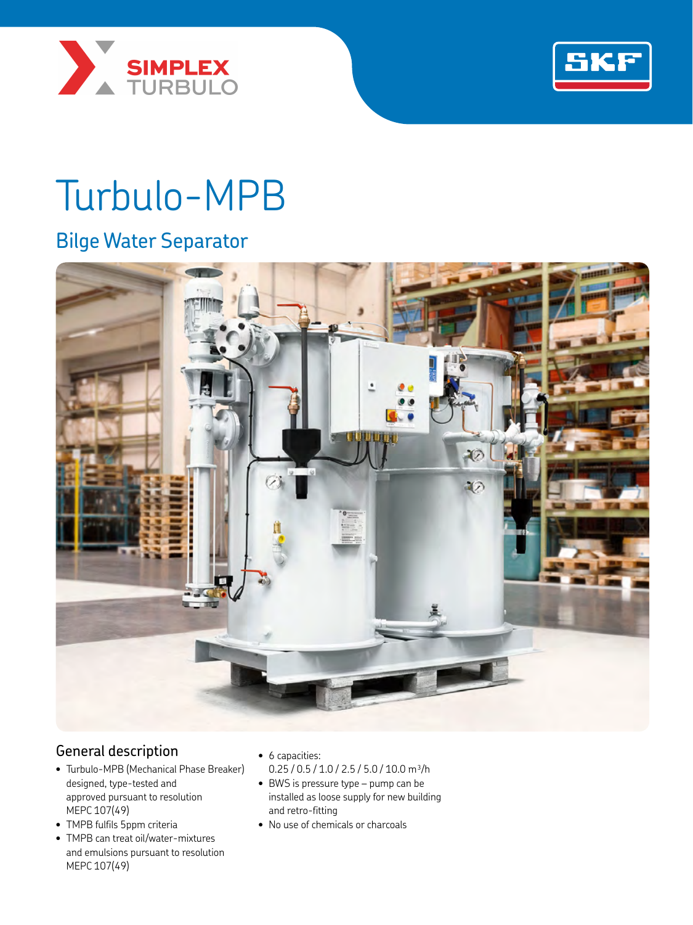



# Turbulo-MPB

## Bilge Water Separator



## General description

- Turbulo-MPB (Mechanical Phase Breaker) designed, type-tested and approved pursuant to resolution MEPC 107(49)
- TMPB fulfils 5ppm criteria
- TMPB can treat oil/water-mixtures and emulsions pursuant to resolution MEPC 107(49)
- 6 capacities:
- $0.25 / 0.5 / 1.0 / 2.5 / 5.0 / 10.0$  m<sup>3</sup>/h
- BWS is pressure type pump can be installed as loose supply for new building and retro-fitting
- No use of chemicals or charcoals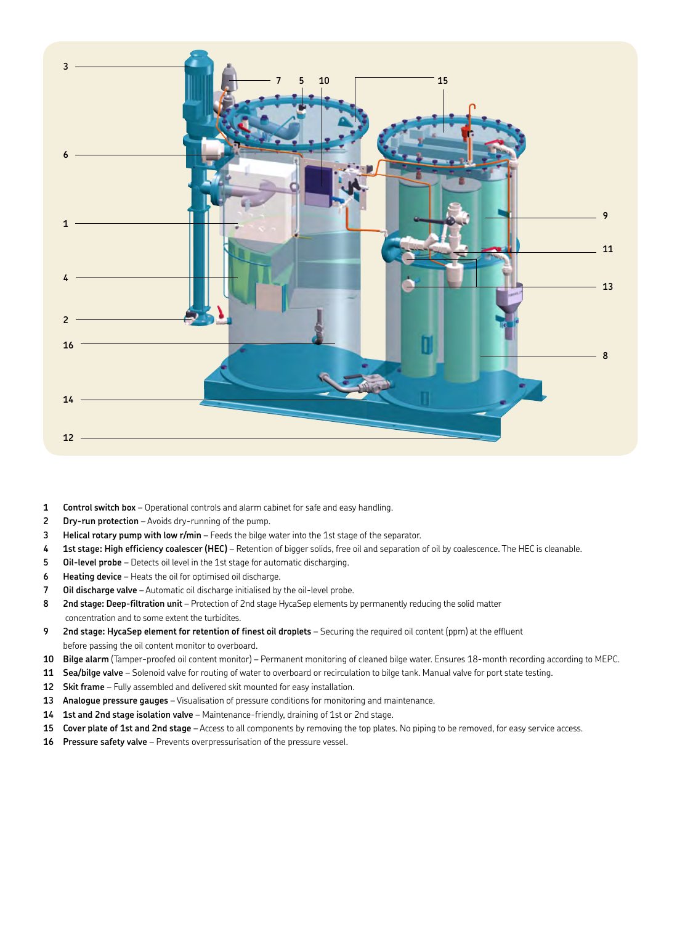

- **Control switch box** Operational controls and alarm cabinet for safe and easy handling.
- **Dry-run protection**  Avoids dry-running of the pump.
- **Helical rotary pump with low r/min** Feeds the bilge water into the 1st stage of the separator.
- **1st stage: High efficiency coalescer (HEC)** Retention of bigger solids, free oil and separation of oil by coalescence. The HEC is cleanable.
- **Oil-level probe** Detects oil level in the 1st stage for automatic discharging.
- **Heating device** Heats the oil for optimised oil discharge.
- **Oil discharge valve** Automatic oil discharge initialised by the oil-level probe.
- **2nd stage: Deep-filtration unit** Protection of 2nd stage HycaSep elements by permanently reducing the solid matter concentration and to some extent the turbidites.
- **2nd stage: HycaSep element for retention of finest oil droplets** Securing the required oil content (ppm) at the effluent before passing the oil content monitor to overboard.
- **Bilge alarm** (Tamper-proofed oil content monitor) Permanent monitoring of cleaned bilge water. Ensures 18-month recording according to MEPC.
- **Sea/bilge valve** Solenoid valve for routing of water to overboard or recirculation to bilge tank. Manual valve for port state testing.
- **Skit frame** Fully assembled and delivered skit mounted for easy installation.
- **Analogue pressure gauges** Visualisation of pressure conditions for monitoring and maintenance.
- **1st and 2nd stage isolation valve** Maintenance-friendly, draining of 1st or 2nd stage.
- **Cover plate of 1st and 2nd stage** Access to all components by removing the top plates. No piping to be removed, for easy service access.
- **Pressure safety valve** Prevents overpressurisation of the pressure vessel.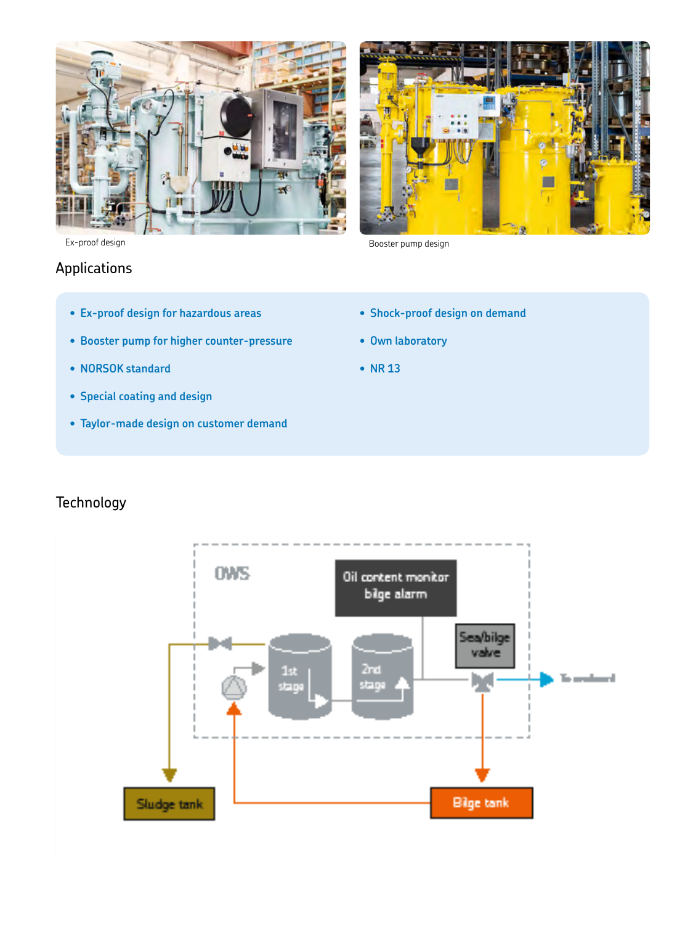走 1Ń 推耳

Ex-proof design Booster pump design

## Applications

- **• Ex-proof design for hazardous areas**
- **• Booster pump for higher counter-pressure**
- **• NORSOK standard**
- **• Special coating and design**
- **• Taylor-made design on customer demand**
- **• Shock-proof design on demand**
- **• Own laboratory**
- **• NR 13**

## **Technology**